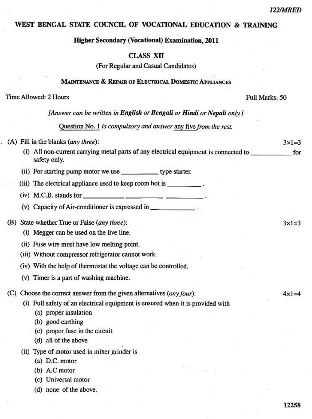$3 \times 1 = 3$ 

 $3 \times 1 = 3$ 

 $4 \times 1 = 4$ 

# WEST BENGAL STATE COUNCIL OF VOCATIONAL EDUCATION & TRAINING

**Higher Secondary (Vocational) Examination, 2011** 

## **CLASS XII**

(For Regular and Casual Candidates)

### MAINTENANCE & REPAIR OF ELECTRICAL DOMESTIC APPLIANCES

#### Time Allowed: 2 Hours

Full Marks: 50

[Answer can be written in English or Bengali or Hindi or Nepali only.]

Question No. 1 is compulsory and answer any five from the rest.

#### (A) Fill in the blanks (any three):

- (i) All non-current carrying metal parts of any electrical equipment is connected to for safety only.
- (ii) For starting pump motor we use \_\_\_\_\_\_\_\_\_\_\_\_\_ type starter.
- (iii) The electrical appliance used to keep room hot is
- $(iv)$  M.C.B. stands for
- (v) Capacity of Air-conditioner is expressed in \_\_\_\_\_\_\_\_\_\_\_\_\_\_\_\_\_\_\_\_\_\_\_\_\_\_\_\_\_\_\_\_\_

(B) State whether True or False (any three):

- (i) Megger can be used on the live line.
- (ii) Fuse wire must have low melting point.
- (iii) Without compressor refrigerator cannot work.
- (iv) With the help of thermostat the voltage can be controlled.
- (v) Timer is a part of washing machine.
- (C) Choose the correct answer from the given alternatives (any four):

(i) Full safety of an electrical equipment is ensured when it is provided with

- (a) proper insulation
- (b) good earthing
- (c) proper fuse in the circuit
- (d) all of the above
- (ii) Type of motor used in mixer grinder is
	- $(a)$  D.C. motor
	- (b) A.C motor
	- (c) Universal motor
	- (d) none of the above.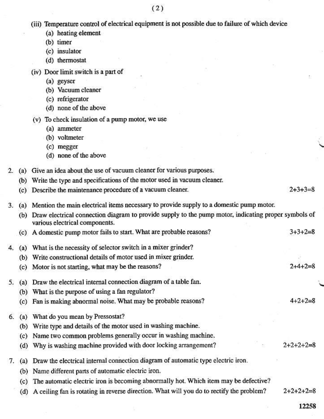|                  |     | (iii) Temperature control of electrical equipment is not possible due to failure of which device                                           |                 |  |  |  |
|------------------|-----|--------------------------------------------------------------------------------------------------------------------------------------------|-----------------|--|--|--|
|                  |     | (a) heating element                                                                                                                        |                 |  |  |  |
|                  |     | (b) timer                                                                                                                                  |                 |  |  |  |
|                  |     | (c) insulator                                                                                                                              |                 |  |  |  |
|                  |     | (d) thermostat                                                                                                                             |                 |  |  |  |
|                  |     | (iv) Door limit switch is a part of                                                                                                        |                 |  |  |  |
|                  |     | (a) geyser                                                                                                                                 |                 |  |  |  |
|                  |     | (b) Vacuum cleaner                                                                                                                         |                 |  |  |  |
|                  |     | (c) refrigerator                                                                                                                           |                 |  |  |  |
|                  |     | (d) none of the above                                                                                                                      |                 |  |  |  |
|                  |     | (v) To check insulation of a pump motor, we use                                                                                            |                 |  |  |  |
|                  |     | (a) ammeter                                                                                                                                |                 |  |  |  |
|                  |     | (b) voltmeter                                                                                                                              |                 |  |  |  |
|                  |     | (c) megger                                                                                                                                 |                 |  |  |  |
|                  |     | (d) none of the above                                                                                                                      |                 |  |  |  |
| $\overline{2}$ . |     | (a) Give an idea about the use of vacuum cleaner for various purposes.                                                                     |                 |  |  |  |
|                  | (b) | Write the type and specifications of the motor used in vacuum cleaner.                                                                     |                 |  |  |  |
|                  |     | (c) Describe the maintenance procedure of a vacuum cleaner.                                                                                | $2+3+3=8$       |  |  |  |
| 3.               |     | (a) Mention the main electrical items necessary to provide supply to a domestic pump motor.                                                |                 |  |  |  |
|                  |     | (b) Draw electrical connection diagram to provide supply to the pump motor, indicating proper symbols of<br>various electrical components. |                 |  |  |  |
|                  |     | (c) A domestic pump motor fails to start. What are probable reasons?                                                                       | $3 + 3 + 2 = 8$ |  |  |  |
| 4.               | (a) | What is the necessity of selector switch in a mixer grinder?                                                                               |                 |  |  |  |
|                  | (b) | Write constructional details of motor used in mixer grinder.                                                                               |                 |  |  |  |
|                  | (c) | Motor is not starting, what may be the reasons?                                                                                            |                 |  |  |  |
| 5.               | (a) | Draw the electrical internal connection diagram of a table fan.                                                                            |                 |  |  |  |
|                  |     | (b) What is the purpose of using a fan regulator?                                                                                          |                 |  |  |  |
|                  |     | (c) Fan is making abnormal noise. What may be probable reasons?                                                                            | $4 + 2 + 2 = 8$ |  |  |  |
| 6.               | (a) | What do you mean by Pressostat?                                                                                                            |                 |  |  |  |
|                  | (b) | Write type and details of the motor used in washing machine.                                                                               |                 |  |  |  |
|                  | (c) | Name two common problems generally occur in washing machine.                                                                               |                 |  |  |  |
|                  | (d) | Why is washing machine provided with door locking arrangement?                                                                             | $2+2+2+2=8$     |  |  |  |
| 7.               | (a) | Draw the electrical internal connection diagram of automatic type electric iron.                                                           |                 |  |  |  |
|                  | (b) | Name different parts of automatic electric iron.                                                                                           |                 |  |  |  |
|                  | (c) | The automatic electric iron is becoming abnormally hot. Which item may be defective?                                                       |                 |  |  |  |
|                  | (d) | A ceiling fan is rotating in reverse direction. What will you do to rectify the problem?                                                   | $2+2+2+2=8$     |  |  |  |

12258

ö.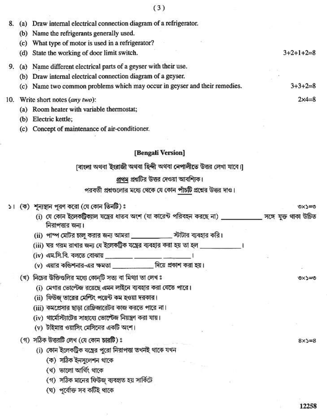| 8.       | (a) Draw internal electrical connection diagram of a refrigerator.                                                             |                 |
|----------|--------------------------------------------------------------------------------------------------------------------------------|-----------------|
|          | (b) Name the refrigerants generally used.                                                                                      |                 |
|          | (c) What type of motor is used in a refrigerator?                                                                              |                 |
|          | (d) State the working of door limit switch.                                                                                    | $3+2+1+2=8$     |
| 9.       | (a) Name different electrical parts of a geyser with their use.                                                                |                 |
|          | (b) Draw internal electrical connection diagram of a geyser.                                                                   |                 |
|          | (c) Name two common problems which may occur in geyser and their remedies.                                                     | $3+3+2=8$       |
| 10.      | Write short notes (any two):                                                                                                   | $2x4=8$         |
|          | (a) Room heater with variable thermostat;                                                                                      |                 |
|          | (b) Electric kettle;                                                                                                           |                 |
|          | (c) Concept of maintenance of air-conditioner.                                                                                 |                 |
|          |                                                                                                                                |                 |
|          | [Bengali Version]                                                                                                              |                 |
|          | াবাংলা অথবা ইংরাজী অথবা হিন্দী অথবা নেপালীতে উত্তর লেখা যাবে।]                                                                 |                 |
|          | প্রথম প্রশ্নটির উত্তর দেওয়া আবশ্যিক।                                                                                          |                 |
|          | পরবর্তী প্রশ্নগুলোর মধ্যে থেকে যে কোন পাঁচটি প্রশ্নের উত্তর দাও।                                                               |                 |
| $\geq$ 1 | (ক) শূন্যস্থান পূরণ করো (যে কোন তিনটি)ঃ                                                                                        | <b>DECXD</b>    |
|          | (i) যে কোন ইলেকট্রিক্যাল যন্ত্রের ধাতব অংশ (যা কারেন্ট পরিবহন করছে না) _____________ সঙ্গে যুক্ত থাকা উচিত<br>নিরাপত্তার জন্য। |                 |
|          | (ii) পাম্প মেটির চালু করার জন্য আমরা ____________ স্টটার ব্যবহার করি।                                                          |                 |
|          | (iii) ঘর গরম রাখার জন্য যে ইলেকট্রিক যন্ত্রের ব্যবহার করা হয় তা হল _______________________________                            |                 |
|          | (iv) এম.সি.বি. বলতে বোঝায় ________ ________ ________ ।                                                                        |                 |
|          | (v) এয়ার কন্ডিশনার-এর ক্ষমতা ___________ দিয়ে প্রকাশ করা হয়।                                                                |                 |
|          | (খ) নিচের উক্তিগুলির মধ্যে কোন্টি সত্য বা মিথ্যা তা লেখঃ                                                                       | シニィメツ           |
|          | (i) মেগার ভোল্টেজ রয়েছে এমন লাইনে ব্যবহার করা যেতে পারে।                                                                      |                 |
|          | (ii) ফিউজ্ তারের মেল্টিং পয়েন্ট কম হওয়া দরকার।                                                                               |                 |
|          | (iii) কমপ্রেসার ছাড়া রেফ্রিজারেটর কাজ করতে পারে না।                                                                           |                 |
|          | (iv) থার্মোস্ট্যাটের সাহায্যে ভোল্টেজ নিয়ন্ত্রণ করা যায়।                                                                     |                 |
|          | (v) টাইমার ওয়াসিং মেসিনের একটি অংশ।                                                                                           |                 |
|          | (গ) সঠিক উত্তরটি লেখ (যে কোন চারটি)ঃ                                                                                           | $8\times$ 5 = 8 |
|          | (i) কোন ইলেকট্রিক যন্ত্রের পুরো নিরাপত্তা তখনই থাকে যখন                                                                        |                 |
|          | (ক) সঠিক ইনসুলেশন থাকে                                                                                                         |                 |
|          | (খ) ভালো আৰ্থিং থাকে                                                                                                           |                 |
|          | (গ) সঠিক মানের ফিউজ্ ব্যবহৃত হয় সার্কিটে                                                                                      |                 |
|          | (ঘ) পূৰ্বোক্ত সব কটিই থাকে                                                                                                     |                 |
|          |                                                                                                                                | 12258           |
|          |                                                                                                                                |                 |

 $\bar{\nu}$ 

ł

ŕ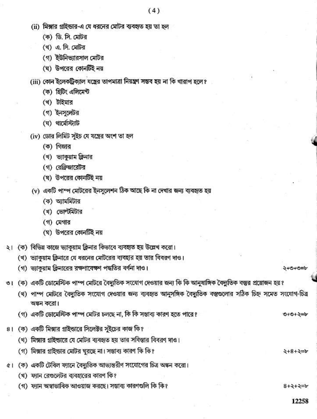- (ii) মিক্সার গ্রাইন্ডার-এ যে ধরনের মোটর ব্যবহৃত হয় তা হল
	- (ক) ডি. সি. মোটর
	- (খ) এ. সি. মেটর
	- (গ) ইউনিভ্যারসাল মোটর
	- (ঘ) উপরের কোনটিই নয়
- (iii) কোন ইলেকট্রিক্যাল যন্ত্রের তাপমাত্রা নিয়ন্ত্রণ সম্ভব হয় না কি খারাপ হলে?
	- (ক) হিটিং এলিমেন্ট
	- (ব) টাইমার
	- (গ) ইনসলেটর
	- $(\overline{v})$  থার্মোস্ট্যাট
- (iv) ডোর লিমিট সুইচ যে যন্ত্রের অংশ তা হল
	- (ক) গিজার
	- (থ) ভ্যাকুয়াম ক্লিনার
	- (গ) রেফ্রিজারেটর
	- (ঘ) উপরের কোনটিই নয়
- (v) একটি পাম্প মোটরের ইনসুলেশন ঠিক আছে কি না দেখার জন্য ব্যবহৃত হয়
	- (ক) অ্যামমিটার
	- (খ) ভোল্টমিটার
	- (গ) মেগার
	- (ঘ) উপরের কোনটিই নয়
- ২। (ক) বিভিন্ন কাজে ভ্যাকুয়াম ক্লিনার কিভাবে ব্যবহৃত হয় উল্লেখ করো।
	- (খ) ভ্যাকুয়াম ক্লিনারে যে ধরনের মোটরের ব্যবহার হয় তার বিবরণ দাও।
	- (গ) ভ্যাকুয়াম ক্লিনারের রক্ষণাবেক্ষণ পদ্ধতির বর্ণনা দাও।

২+৩+৩=৮

৩+৩+২=৮

 $2+8+2=6$ 

 $8 + 2 + 2 = b$ 

- ৩। (ক) একটি ডোমেস্টিক পাম্প মোটরে বৈদ্যুতিক সংযোগ দেওয়ার জন্য কি কি আনুষাঙ্গিক বৈদ্যুতিক বস্তুর প্রয়োজন হয়?
	- (খ) পাম্প মোটরে বৈদ্যুতিক সংযোগ দেওয়ার জন্য ব্যবহৃত আনুসঙ্গিক বৈদ্যুতিক বস্তুগুলোর সঠিক চিহ্ন সমেত সংযোগ-চিত্র অঙ্কন করো।
	- (গ) একটি ডোমেস্টিক পাম্প মেটির চলছে না, কি কি সম্ভাব্য কারণ হতে পারে?
- ৪। (ক) একটি মিক্সার গ্রাইন্ডারে সিলেক্টর সুইচের কাজ কি?
	- (থ) মিক্সার গ্রাইন্ডারে যে মোটর ব্যবহৃত হয় তার সবিস্তার বিবরণ দাও।
	- (গ) মিক্সার গ্রাইন্ডার মোটর ঘুরছে না। সম্ভাব্য কারণ কি কি?
- ৫। (ক) একটি টেবিল ফ্যানে বৈদ্যুতিক আভ্যন্তরীণ সংযোগের চিত্র অঙ্কন করো।
	- (খ) ফ্যান রেণ্ডলেটর ব্যবহারের কারণ কি?
	- (গ) ফ্যান অস্বাভাবিক আওয়াজ করছে। সম্ভাব্য কারণগুলি কি কি?